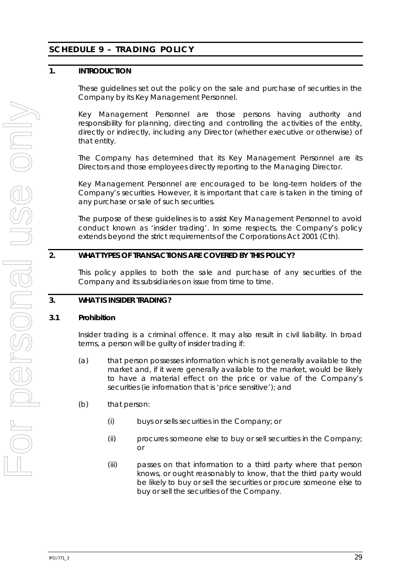# **SCHEDULE 9 – TRADING POLICY**

### **1. INTRODUCTION**

These guidelines set out the policy on the sale and purchase of securities in the Company by its Key Management Personnel.

Key Management Personnel are those persons having authority and responsibility for planning, directing and controlling the activities of the entity, directly or indirectly, including any Director (whether executive or otherwise) of that entity.

The Company has determined that its Key Management Personnel are its Directors and those employees directly reporting to the Managing Director.

Key Management Personnel are encouraged to be long-term holders of the Company's securities. However, it is important that care is taken in the timing of any purchase or sale of such securities.

The purpose of these guidelines is to assist Key Management Personnel to avoid conduct known as 'insider trading'. In some respects, the Company's policy extends beyond the strict requirements of the *Corporations Act 2001* (Cth).

### **2. WHAT TYPES OF TRANSACTIONS ARE COVERED BY THIS POLICY?**

This policy applies to both the sale and purchase of any securities of the Company and its subsidiaries on issue from time to time.

### **3. WHAT IS INSIDER TRADING?**

### **3.1 Prohibition**

Insider trading is a criminal offence. It may also result in civil liability. In broad terms, a person will be guilty of insider trading if:

- (a) that person possesses information which is not generally available to the market and, if it were generally available to the market, would be likely to have a material effect on the price or value of the Company's securities (ie information that is 'price sensitive'); and
- (b) that person:
	- (i) buys or sells securities in the Company; or
	- (ii) procures someone else to buy or sell securities in the Company; or
	- (iii) passes on that information to a third party where that person knows, or ought reasonably to know, that the third party would be likely to buy or sell the securities or procure someone else to buy or sell the securities of the Company.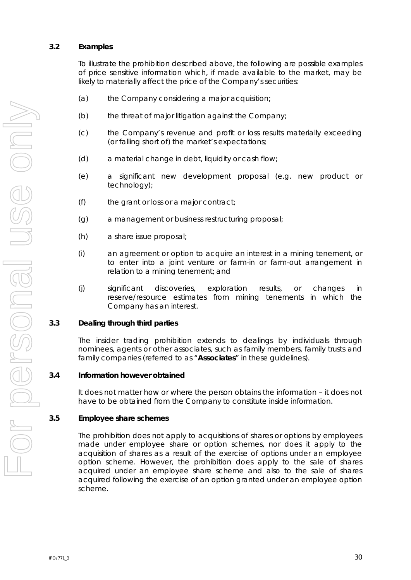### **3.2 Examples**

To illustrate the prohibition described above, the following are possible examples of price sensitive information which, if made available to the market, may be likely to materially affect the price of the Company's securities:

- (a) the Company considering a major acquisition;
- (b) the threat of major litigation against the Company;
- (c) the Company's revenue and profit or loss results materially exceeding (or falling short of) the market's expectations;
- (d) a material change in debt, liquidity or cash flow;
- (e) a significant new development proposal (e.g. new product or technology);
- (f) the grant or loss or a major contract;
- (g) a management or business restructuring proposal;
- (h) a share issue proposal;
- (i) an agreement or option to acquire an interest in a mining tenement, or to enter into a joint venture or farm-in or farm-out arrangement in relation to a mining tenement; and
- (j) significant discoveries, exploration results, or changes in reserve/resource estimates from mining tenements in which the Company has an interest.

#### **3.3 Dealing through third parties**

The insider trading prohibition extends to dealings by individuals through nominees, agents or other associates, such as family members, family trusts and family companies (referred to as "**Associates**" in these guidelines).

#### **3.4 Information however obtained**

It does not matter how or where the person obtains the information – it does not have to be obtained from the Company to constitute inside information.

#### **3.5 Employee share schemes**

The prohibition does not apply to acquisitions of shares or options by employees made under employee share or option schemes, nor does it apply to the acquisition of shares as a result of the exercise of options under an employee option scheme. However, the prohibition does apply to the sale of shares acquired under an employee share scheme and also to the sale of shares acquired following the exercise of an option granted under an employee option scheme.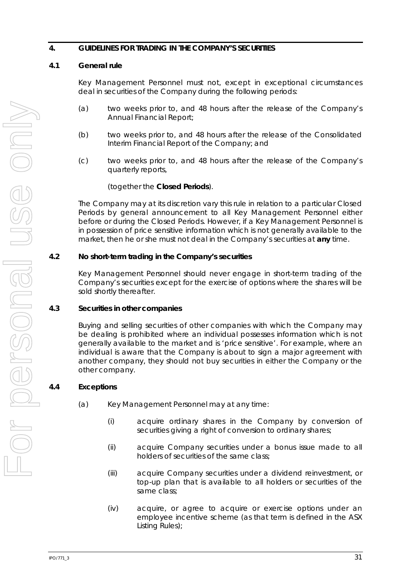### **4. GUIDELINES FOR TRADING IN THE COMPANY'S SECURITIES**

### <span id="page-2-0"></span>**4.1 General rule**

Key Management Personnel must not, except in exceptional circumstances deal in securities of the Company during the following periods:

- (a) two weeks prior to, and 48 hours after the release of the Company's Annual Financial Report;
- (b) two weeks prior to, and 48 hours after the release of the Consolidated Interim Financial Report of the Company; and
- (c) two weeks prior to, and 48 hours after the release of the Company's quarterly reports,

### (together the **Closed Periods**).

The Company may at its discretion vary this rule in relation to a particular Closed Periods by general announcement to all Key Management Personnel either before or during the Closed Periods. However, if a Key Management Personnel is in possession of price sensitive information which is not generally available to the market, then he or she must not deal in the Company's securities at **any** time.

### **4.2 No short-term trading in the Company's securities**

Key Management Personnel should never engage in short-term trading of the Company's securities except for the exercise of options where the shares will be sold shortly thereafter.

### **4.3 Securities in other companies**

Buying and selling securities of other companies with which the Company may be dealing is prohibited where an individual possesses information which is not generally available to the market and is 'price sensitive'. For example, where an individual is aware that the Company is about to sign a major agreement with another company, they should not buy securities in either the Company or the other company.

### **4.4 Exceptions**

- (a) Key Management Personnel may at any time:
	- (i) acquire ordinary shares in the Company by conversion of securities giving a right of conversion to ordinary shares;
	- (ii) acquire Company securities under a bonus issue made to all holders of securities of the same class;
	- (iii) acquire Company securities under a dividend reinvestment, or top-up plan that is available to all holders or securities of the same class;
	- (iv) acquire, or agree to acquire or exercise options under an employee incentive scheme (as that term is defined in the ASX Listing Rules);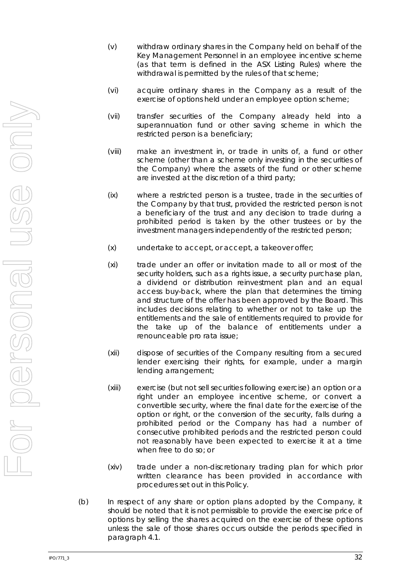- (v) withdraw ordinary shares in the Company held on behalf of the Key Management Personnel in an employee incentive scheme (as that term is defined in the ASX Listing Rules) where the withdrawal is permitted by the rules of that scheme;
- (vi) acquire ordinary shares in the Company as a result of the exercise of options held under an employee option scheme;
- (vii) transfer securities of the Company already held into a superannuation fund or other saving scheme in which the restricted person is a beneficiary;
- (viii) make an investment in, or trade in units of, a fund or other scheme (other than a scheme only investing in the securities of the Company) where the assets of the fund or other scheme are invested at the discretion of a third party;
- (ix) where a restricted person is a trustee, trade in the securities of the Company by that trust, provided the restricted person is not a beneficiary of the trust and any decision to trade during a prohibited period is taken by the other trustees or by the investment managers independently of the restricted person;
- (x) undertake to accept, or accept, a takeover offer;
- (xi) trade under an offer or invitation made to all or most of the security holders, such as a rights issue, a security purchase plan, a dividend or distribution reinvestment plan and an equal access buy-back, where the plan that determines the timing and structure of the offer has been approved by the Board. This includes decisions relating to whether or not to take up the entitlements and the sale of entitlements required to provide for the take up of the balance of entitlements under a renounceable pro rata issue;
- (xii) dispose of securities of the Company resulting from a secured lender exercising their rights, for example, under a margin lending arrangement;
- (xiii) exercise (but not sell securities following exercise) an option or a right under an employee incentive scheme, or convert a convertible security, where the final date for the exercise of the option or right, or the conversion of the security, falls during a prohibited period or the Company has had a number of consecutive prohibited periods and the restricted person could not reasonably have been expected to exercise it at a time when free to do so; or
- (xiv) trade under a non-discretionary trading plan for which prior written clearance has been provided in accordance with procedures set out in this Policy.
- (b) In respect of any share or option plans adopted by the Company, it should be noted that it is not permissible to provide the exercise price of options by selling the shares acquired on the exercise of these options unless the sale of those shares occurs outside the periods specified in paragraph [4.1.](#page-2-0)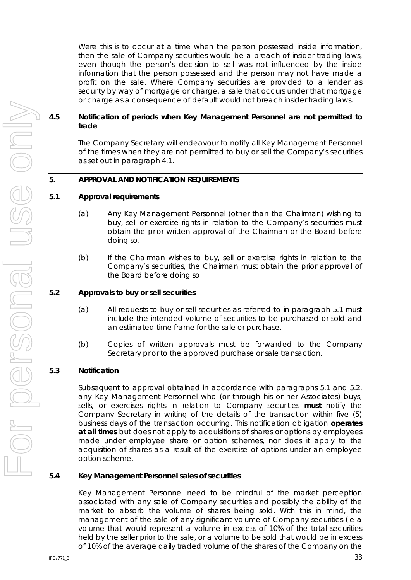Were this is to occur at a time when the person possessed inside information, then the sale of Company securities would be a breach of insider trading laws, even though the person's decision to sell was not influenced by the inside information that the person possessed and the person may not have made a profit on the sale. Where Company securities are provided to a lender as security by way of mortgage or charge, a sale that occurs under that mortgage or charge as a consequence of default would not breach insider trading laws.

### **4.5 Notification of periods when Key Management Personnel are not permitted to trade**

The Company Secretary will endeavour to notify all Key Management Personnel of the times when they are not permitted to buy or sell the Company's securities as set out in paragraph [4.1.](#page-2-0)

### **5. APPROVAL AND NOTIFICATION REQUIREMENTS**

#### <span id="page-4-0"></span>**5.1 Approval requirements**

- (a) Any Key Management Personnel (other than the Chairman) wishing to buy, sell or exercise rights in relation to the Company's securities must obtain the prior written approval of the Chairman or the Board before doing so.
- (b) If the Chairman wishes to buy, sell or exercise rights in relation to the Company's securities, the Chairman must obtain the prior approval of the Board before doing so.

#### <span id="page-4-1"></span>**5.2 Approvals to buy or sell securities**

- (a) All requests to buy or sell securities as referred to in paragraph [5.1](#page-4-0) must include the intended volume of securities to be purchased or sold and an estimated time frame for the sale or purchase.
- (b) Copies of written approvals must be forwarded to the Company Secretary prior to the approved purchase or sale transaction.

### **5.3 Notification**

Subsequent to approval obtained in accordance with paragraphs [5.1](#page-4-0) and [5.2,](#page-4-1) any Key Management Personnel who (or through his or her Associates) buys, sells, or exercises rights in relation to Company securities **must** notify the Company Secretary in writing of the details of the transaction within five (5) business days of the transaction occurring. This notification obligation **operates at all times** but does not apply to acquisitions of shares or options by employees made under employee share or option schemes, nor does it apply to the acquisition of shares as a result of the exercise of options under an employee option scheme.

#### **5.4 Key Management Personnel sales of securities**

Key Management Personnel need to be mindful of the market perception associated with any sale of Company securities and possibly the ability of the market to absorb the volume of shares being sold. With this in mind, the management of the sale of any significant volume of Company securities (ie a volume that would represent a volume in excess of 10% of the total securities held by the seller prior to the sale, or a volume to be sold that would be in excess of 10% of the average daily traded volume of the shares of the Company on the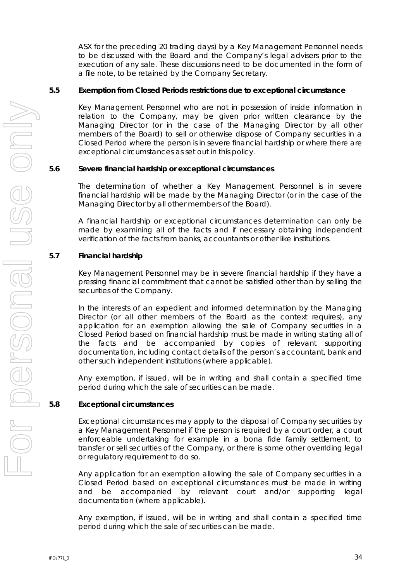ASX for the preceding 20 trading days) by a Key Management Personnel needs to be discussed with the Board and the Company's legal advisers prior to the execution of any sale. These discussions need to be documented in the form of a file note, to be retained by the Company Secretary.

### **5.5 Exemption from Closed Periods restrictions due to exceptional circumstance**

Key Management Personnel who are not in possession of inside information in relation to the Company, may be given prior written clearance by the Managing Director (or in the case of the Managing Director by all other members of the Board) to sell or otherwise dispose of Company securities in a Closed Period where the person is in severe financial hardship or where there are exceptional circumstances as set out in this policy.

#### **5.6 Severe financial hardship or exceptional circumstances**

The determination of whether a Key Management Personnel is in severe financial hardship will be made by the Managing Director (or in the case of the Managing Director by all other members of the Board).

A financial hardship or exceptional circumstances determination can only be made by examining all of the facts and if necessary obtaining independent verification of the facts from banks, accountants or other like institutions.

### **5.7 Financial hardship**

Key Management Personnel may be in severe financial hardship if they have a pressing financial commitment that cannot be satisfied other than by selling the securities of the Company.

In the interests of an expedient and informed determination by the Managing Director (or all other members of the Board as the context requires), any application for an exemption allowing the sale of Company securities in a Closed Period based on financial hardship must be made in writing stating all of the facts and be accompanied by copies of relevant supporting documentation, including contact details of the person's accountant, bank and other such independent institutions (where applicable).

Any exemption, if issued, will be in writing and shall contain a specified time period during which the sale of securities can be made.

### **5.8 Exceptional circumstances**

Exceptional circumstances may apply to the disposal of Company securities by a Key Management Personnel if the person is required by a court order, a court enforceable undertaking for example in a bona fide family settlement, to transfer or sell securities of the Company, or there is some other overriding legal or regulatory requirement to do so.

Any application for an exemption allowing the sale of Company securities in a Closed Period based on exceptional circumstances must be made in writing and be accompanied by relevant court and/or supporting legal documentation (where applicable).

Any exemption, if issued, will be in writing and shall contain a specified time period during which the sale of securities can be made.